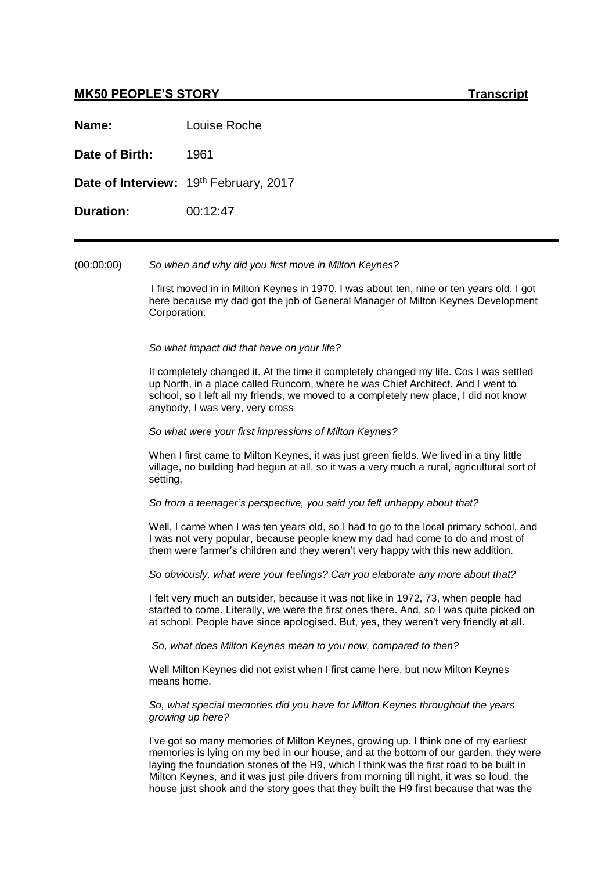# **MK50 PEOPLE'S STORY Transcript**

**Name:** Louise Roche

**Date of Birth:** 1961

Date of Interview: 19th February, 2017

**Duration:** 00:12:47

(00:00:00) *So when and why did you first move in Milton Keynes?*

I first moved in in Milton Keynes in 1970. I was about ten, nine or ten years old. I got here because my dad got the job of General Manager of Milton Keynes Development Corporation.

*So what impact did that have on your life?*

It completely changed it. At the time it completely changed my life. Cos I was settled up North, in a place called Runcorn, where he was Chief Architect. And I went to school, so I left all my friends, we moved to a completely new place, I did not know anybody, I was very, very cross

*So what were your first impressions of Milton Keynes?*

When I first came to Milton Keynes, it was just green fields. We lived in a tiny little village, no building had begun at all, so it was a very much a rural, agricultural sort of setting,

*So from a teenager's perspective, you said you felt unhappy about that?*

Well, I came when I was ten years old, so I had to go to the local primary school, and I was not very popular, because people knew my dad had come to do and most of them were farmer's children and they weren't very happy with this new addition.

*So obviously, what were your feelings? Can you elaborate any more about that?*

I felt very much an outsider, because it was not like in 1972, 73, when people had started to come. Literally, we were the first ones there. And, so I was quite picked on at school. People have since apologised. But, yes, they weren't very friendly at all.

*So, what does Milton Keynes mean to you now, compared to then?*

Well Milton Keynes did not exist when I first came here, but now Milton Keynes means home.

*So, what special memories did you have for Milton Keynes throughout the years growing up here?*

I've got so many memories of Milton Keynes, growing up. I think one of my earliest memories is lying on my bed in our house, and at the bottom of our garden, they were laying the foundation stones of the H9, which I think was the first road to be built in Milton Keynes, and it was just pile drivers from morning till night, it was so loud, the house just shook and the story goes that they built the H9 first because that was the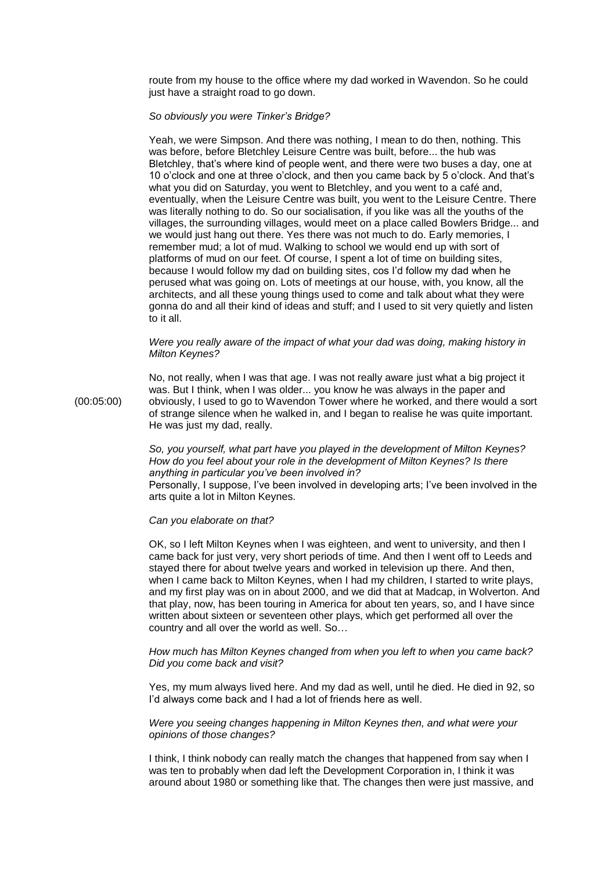route from my house to the office where my dad worked in Wavendon. So he could just have a straight road to go down.

## *So obviously you were Tinker's Bridge?*

Yeah, we were Simpson. And there was nothing, I mean to do then, nothing. This was before, before Bletchley Leisure Centre was built, before... the hub was Bletchley, that's where kind of people went, and there were two buses a day, one at 10 o'clock and one at three o'clock, and then you came back by 5 o'clock. And that's what you did on Saturday, you went to Bletchley, and you went to a café and, eventually, when the Leisure Centre was built, you went to the Leisure Centre. There was literally nothing to do. So our socialisation, if you like was all the youths of the villages, the surrounding villages, would meet on a place called Bowlers Bridge... and we would just hang out there. Yes there was not much to do. Early memories, I remember mud; a lot of mud. Walking to school we would end up with sort of platforms of mud on our feet. Of course, I spent a lot of time on building sites, because I would follow my dad on building sites, cos I'd follow my dad when he perused what was going on. Lots of meetings at our house, with, you know, all the architects, and all these young things used to come and talk about what they were gonna do and all their kind of ideas and stuff; and I used to sit very quietly and listen to it all.

#### *Were you really aware of the impact of what your dad was doing, making history in Milton Keynes?*

No, not really, when I was that age. I was not really aware just what a big project it was. But I think, when I was older... you know he was always in the paper and (00:05:00) obviously, I used to go to Wavendon Tower where he worked, and there would a sort of strange silence when he walked in, and I began to realise he was quite important. He was just my dad, really.

> *So, you yourself, what part have you played in the development of Milton Keynes? How do you feel about your role in the development of Milton Keynes? Is there anything in particular you've been involved in?* Personally, I suppose, I've been involved in developing arts; I've been involved in the

> arts quite a lot in Milton Keynes.

#### *Can you elaborate on that?*

OK, so I left Milton Keynes when I was eighteen, and went to university, and then I came back for just very, very short periods of time. And then I went off to Leeds and stayed there for about twelve years and worked in television up there. And then, when I came back to Milton Keynes, when I had my children, I started to write plays, and my first play was on in about 2000, and we did that at Madcap, in Wolverton. And that play, now, has been touring in America for about ten years, so, and I have since written about sixteen or seventeen other plays, which get performed all over the country and all over the world as well. So…

## *How much has Milton Keynes changed from when you left to when you came back? Did you come back and visit?*

Yes, my mum always lived here. And my dad as well, until he died. He died in 92, so I'd always come back and I had a lot of friends here as well.

## *Were you seeing changes happening in Milton Keynes then, and what were your opinions of those changes?*

I think, I think nobody can really match the changes that happened from say when I was ten to probably when dad left the Development Corporation in, I think it was around about 1980 or something like that. The changes then were just massive, and